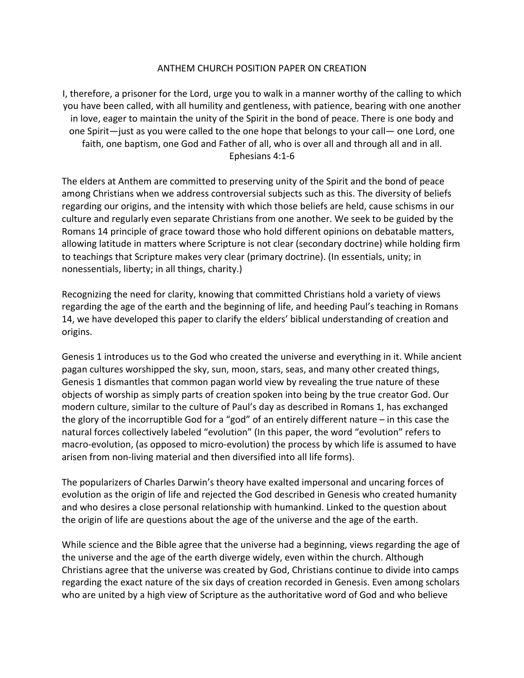## ANTHEM CHURCH POSITION PAPER ON CREATION

I, therefore, a prisoner for the Lord, urge you to walk in a manner worthy of the calling to which you have been called, with all humility and gentleness, with patience, bearing with one another in love, eager to maintain the unity of the Spirit in the bond of peace. There is one body and one Spirit—just as you were called to the one hope that belongs to your call— one Lord, one faith, one baptism, one God and Father of all, who is over all and through all and in all. Ephesians 4:1-6

The elders at Anthem are committed to preserving unity of the Spirit and the bond of peace among Christians when we address controversial subjects such as this. The diversity of beliefs regarding our origins, and the intensity with which those beliefs are held, cause schisms in our culture and regularly even separate Christians from one another. We seek to be guided by the Romans 14 principle of grace toward those who hold different opinions on debatable matters, allowing latitude in matters where Scripture is not clear (secondary doctrine) while holding firm to teachings that Scripture makes very clear (primary doctrine). (In essentials, unity; in nonessentials, liberty; in all things, charity.)

Recognizing the need for clarity, knowing that committed Christians hold a variety of views regarding the age of the earth and the beginning of life, and heeding Paul's teaching in Romans 14, we have developed this paper to clarify the elders' biblical understanding of creation and origins.

Genesis 1 introduces us to the God who created the universe and everything in it. While ancient pagan cultures worshipped the sky, sun, moon, stars, seas, and many other created things, Genesis 1 dismantles that common pagan world view by revealing the true nature of these objects of worship as simply parts of creation spoken into being by the true creator God. Our modern culture, similar to the culture of Paul's day as described in Romans 1, has exchanged the glory of the incorruptible God for a "god" of an entirely different nature – in this case the natural forces collectively labeled "evolution" (In this paper, the word "evolution" refers to macro-evolution, (as opposed to micro-evolution) the process by which life is assumed to have arisen from non-living material and then diversified into all life forms).

The popularizers of Charles Darwin's theory have exalted impersonal and uncaring forces of evolution as the origin of life and rejected the God described in Genesis who created humanity and who desires a close personal relationship with humankind. Linked to the question about the origin of life are questions about the age of the universe and the age of the earth.

While science and the Bible agree that the universe had a beginning, views regarding the age of the universe and the age of the earth diverge widely, even within the church. Although Christians agree that the universe was created by God, Christians continue to divide into camps regarding the exact nature of the six days of creation recorded in Genesis. Even among scholars who are united by a high view of Scripture as the authoritative word of God and who believe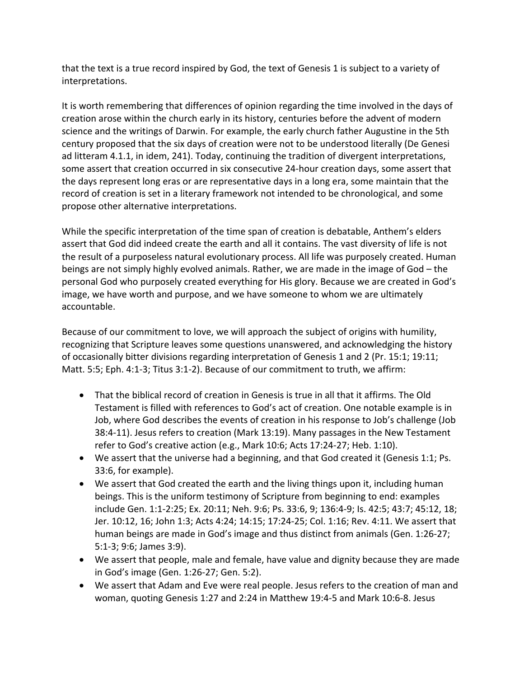that the text is a true record inspired by God, the text of Genesis 1 is subject to a variety of interpretations.

It is worth remembering that differences of opinion regarding the time involved in the days of creation arose within the church early in its history, centuries before the advent of modern science and the writings of Darwin. For example, the early church father Augustine in the 5th century proposed that the six days of creation were not to be understood literally (De Genesi ad litteram 4.1.1, in idem, 241). Today, continuing the tradition of divergent interpretations, some assert that creation occurred in six consecutive 24-hour creation days, some assert that the days represent long eras or are representative days in a long era, some maintain that the record of creation is set in a literary framework not intended to be chronological, and some propose other alternative interpretations.

While the specific interpretation of the time span of creation is debatable, Anthem's elders assert that God did indeed create the earth and all it contains. The vast diversity of life is not the result of a purposeless natural evolutionary process. All life was purposely created. Human beings are not simply highly evolved animals. Rather, we are made in the image of God – the personal God who purposely created everything for His glory. Because we are created in God's image, we have worth and purpose, and we have someone to whom we are ultimately accountable.

Because of our commitment to love, we will approach the subject of origins with humility, recognizing that Scripture leaves some questions unanswered, and acknowledging the history of occasionally bitter divisions regarding interpretation of Genesis 1 and 2 (Pr. 15:1; 19:11; Matt. 5:5; Eph. 4:1-3; Titus 3:1-2). Because of our commitment to truth, we affirm:

- That the biblical record of creation in Genesis is true in all that it affirms. The Old Testament is filled with references to God's act of creation. One notable example is in Job, where God describes the events of creation in his response to Job's challenge (Job 38:4-11). Jesus refers to creation (Mark 13:19). Many passages in the New Testament refer to God's creative action (e.g., Mark 10:6; Acts 17:24-27; Heb. 1:10).
- We assert that the universe had a beginning, and that God created it (Genesis 1:1; Ps. 33:6, for example).
- We assert that God created the earth and the living things upon it, including human beings. This is the uniform testimony of Scripture from beginning to end: examples include Gen. 1:1-2:25; Ex. 20:11; Neh. 9:6; Ps. 33:6, 9; 136:4-9; Is. 42:5; 43:7; 45:12, 18; Jer. 10:12, 16; John 1:3; Acts 4:24; 14:15; 17:24-25; Col. 1:16; Rev. 4:11. We assert that human beings are made in God's image and thus distinct from animals (Gen. 1:26-27; 5:1-3; 9:6; James 3:9).
- We assert that people, male and female, have value and dignity because they are made in God's image (Gen. 1:26-27; Gen. 5:2).
- We assert that Adam and Eve were real people. Jesus refers to the creation of man and woman, quoting Genesis 1:27 and 2:24 in Matthew 19:4-5 and Mark 10:6-8. Jesus